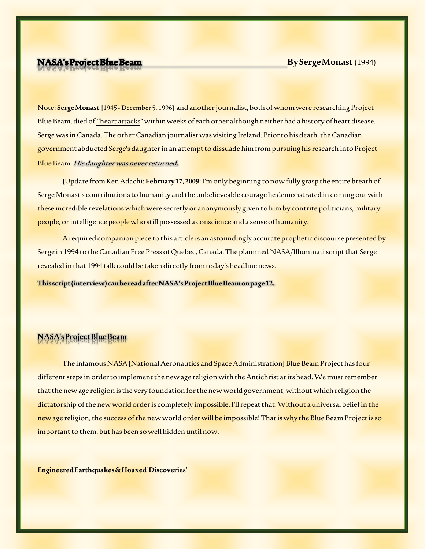# **NASA's Project Blue Beam**

Note: **Serge Monast** [1945 -December 5, 1996] and another journalist, both of whom were researching Project Blue Beam, died of "heart attacks**"** within weeks of each other although neither had a history of heart disease. Serge was in Canada. The other Canadian journalist was visiting Ireland. Prior to his death, the Canadian government abducted Serge's daughter in an attempt to dissuade him from pursuing his research into Project Blue Beam. His daughter was never returned**.**

[Update from Ken Adachi: **February 17, 2009**: I'm only beginning to now fully grasp the entire breath of Serge Monast's contributions to humanity and the unbelieveable courage he demonstrated in coming out with these incredible revelations which were secretly or anonymously given to him by contrite politicians, military people, or intelligence people who still possessed a conscience and a sense of humanity.

A required companion piece to this article is an astoundingly accurate prophetic discourse presented by Serge in 1994 to the Canadian Free Press of Quebec, Canada. The plannned NASA/Illuminati script that Serge revealed in that 1994 talk could be taken directly from today's headline news.

# **This script (interview) can be read after NASA's Project Blue Beamon page 12.**

# **NASA's Project Blue Beam**

The infamous NASA [National Aeronautics and Space Administration] Blue Beam Project has four different steps in order to implement the new age religion with the Antichrist at its head. We must remember that the new age religion is the very foundation for the new world government, without which religion the dictatorship of the new world order is completely impossible. I'll repeat that: Without a universal belief in the new age religion, the success of the new world order will be impossible! That is why the Blue Beam Project is so important to them, but has been so well hidden until now.

## **Engineered Earthquakes & Hoaxed 'Discoveries'**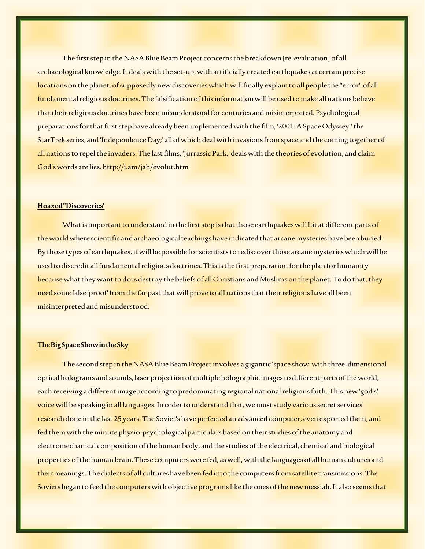The first step in the NASA Blue Beam Project concerns the breakdown [re-evaluation] of all archaeological knowledge. It deals with the set-up, with artificially created earthquakes at certain precise locations on the planet, of supposedly new discoveries which will finally explain to all people the "error" of all fundamental religious doctrines. The falsification of this information will be used to make all nations believe that their religious doctrines have been misunderstood for centuries and misinterpreted. Psychological preparations for that first step have already been implemented with the film, '2001: A Space Odyssey;' the StarTrek series, and 'Independence Day;' all of which deal with invasions from space and the coming together of all nations to repel the invaders. The last films, 'Jurrassic Park,' deals with the theories of evolution, and claim God's words are lies. http://i.am/jah/evolut.htm

# **Hoaxed "Discoveries'**

What is important to understand in the first step is that those earthquakes will hit at different parts of the world where scientific and archaeological teachings have indicated that arcane mysteries have been buried. By those types of earthquakes, it will be possible for scientists to rediscover those arcane mysteries which will be used to discredit all fundamental religious doctrines. This is the first preparation for the plan for humanity because what they want to do is destroy the beliefs of all Christians and Muslims on the planet. To do that, they need some false 'proof' from the far past that will prove to all nations that their religions have all been misinterpreted and misunderstood.

### **The Big Space Show in the Sky**

The second step in the NASA Blue Beam Project involves a gigantic 'space show' with three-dimensional optical holograms and sounds, laser projection of multiple holographic images to different parts of the world, each receiving a different image according to predominating regional national religious faith. This new 'god's' voice will be speaking in all languages. In order to understand that, we must study various secret services' research done in the last 25 years. The Soviet's have perfected an advanced computer, even exported them, and fed them with the minute physio-psychological particulars based on their studies of the anatomy and electromechanical composition of the human body, and the studies of the electrical, chemical and biological properties of the human brain. These computers were fed, as well, with the languages of all human cultures and their meanings. The dialects of all cultures have been fed into the computers from satellite transmissions. The Soviets began to feed the computers with objective programs like the ones of the new messiah. It also seems that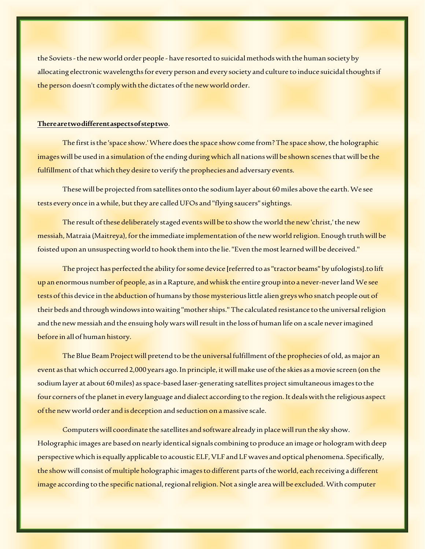the Soviets -the new world order people -have resorted to suicidal methods with the human society by allocating electronic wavelengths for every person and every society and culture to induce suicidal thoughts if the person doesn't comply with the dictates of the new world order.

## **There are two different aspects of step two**.

The first is the 'space show.' Where does the space show come from? The space show, the holographic images will be used in a simulation of the ending during which all nations will be shown scenes that will be the fulfillment of that which they desire to verify the prophecies and adversary events.

These will be projected from satellites onto the sodium layer about 60 miles above the earth. We see tests every once in a while, but they are called UFOs and "flying saucers" sightings.

The result of these deliberately staged events will be to show the world the new 'christ,' the new messiah, Matraia (Maitreya), for the immediate implementation of the new world religion. Enough truth will be foisted upon an unsuspecting world to hook them into the lie. "Even the most learned will be deceived."

The project has perfected the ability for some device [referred to as "tractor beams" by ufologists].to lift up an enormous number of people, as in a Rapture, and whisk the entire group into a never-never land We see tests of this device in the abduction of humans by those mysterious little alien greys who snatch people out of their beds and through windows into waiting "mother ships." The calculated resistance to the universal religion and the new messiah and the ensuing holy wars will result in the loss of human life on a scale never imagined before in all of human history.

The Blue Beam Project will pretend to be the universal fulfillment of the prophecies of old, as major an event as that which occurred 2,000 years ago. In principle, it will make use of the skies as a movie screen (on the sodium layer at about 60 miles) as space-based laser-generating satellites project simultaneous images to the four corners of the planet in every language and dialect according to the region. It deals with the religious aspect of the new world order and is deception and seduction on a massive scale.

Computers will coordinate the satellites and software already in place will run the sky show. Holographic images are based on nearly identical signals combining to produce an image or hologram with deep perspective which is equally applicable to acoustic ELF, VLF and LF waves and optical phenomena. Specifically, the show will consist of multiple holographic images to different parts of the world, each receiving a different image according to the specific national, regional religion. Not a single area will be excluded. With computer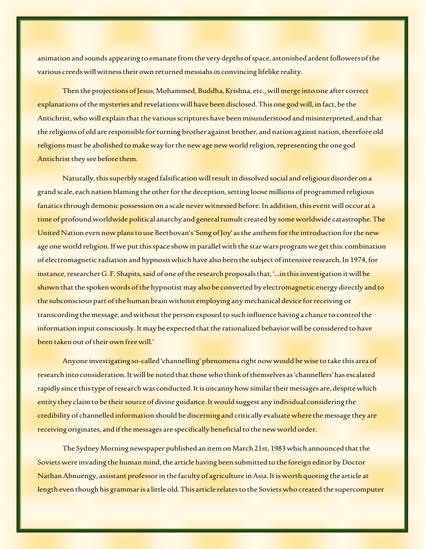animation and sounds appearing to emanate from the very depths of space, astonished ardent followers of the various creeds will witness their own returned messiahs in convincing lifelike reality.

Then the projections of Jesus, Mohammed, Buddha, Krishna, etc., will merge into one after correct explanations of the mysteries and revelations will have been disclosed. This one god will, in fact, be the Antichrist, who will explain that the various scriptures have been misunderstood and misinterpreted, and that the religions of old are responsible for turning brother against brother, and nation against nation, therefore old religions must be abolished to make way for the new age new world religion, representing the one god Antichrist they see before them.

Naturally, this superbly staged falsification will result in dissolved social and religious disorder on a grand scale, each nation blaming the other for the deception, setting loose millions of programmed religious fanatics through demonic possession on a scale never witnessed before. In addition, this event will occur at a time of profound worldwide political anarchy and general tumult created by some worldwide catastrophe. The United Nation even now plans to use Beethovan's 'Song of Joy' as the anthem for the introduction for the new age one world religion. If we put this space show in parallel with the star wars program we get this: combination of electromagnetic radiation and hypnosis which have also been the subject of intensive research. In 1974, for instance, researcher G. F. Shapits, said of one of the research proposals that, '...in this investigation it will be shown that the spoken words of the hypnotist may also be converted by electromagnetic energy directly and to the subconscious part of the human brain without employing any mechanical device for receiving or transcording the message, and without the person exposed to such influence having a chance to control the information input consciously. It may be expected that the rationalized behavior will be considered to have been taken out of their own free will.'

Anyone investigating so-called 'channelling' phenomena right now would be wise to take this area of research into consideration. It will be noted that those who think of themselves as 'channellers' has escalated rapidly since this type of research was conducted. It is uncanny how similar their messages are, despite which entity they claim to be their source of divine guidance. It would suggest any individual considering the credibility of channelled information should be discerning and critically evaluate where the message they are receiving originates, and if the messages are specifically beneficial to the new world order.

The Sydney Morning newspaper published an item on March 21st, 1983 which announced that the Soviets were invading the human mind, the article having been submitted to the foreign editor by Doctor Nathan Abnuengy, assistant professor in the faculty of agriculture in Asia. It is worth quoting the article at length even though his grammar is a little old. This article relates to the Soviets who created the supercomputer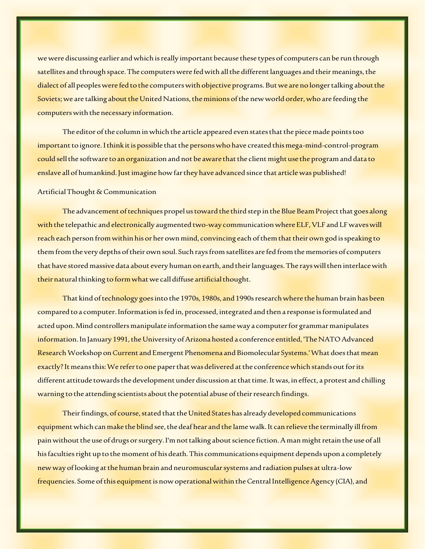we were discussing earlier and which is really important because these types of computers can be run through satellites and through space. The computers were fed with all the different languages and their meanings, the dialect of all peoples were fed to the computers with objective programs. But we are no longer talking about the Soviets; we are talking about the United Nations, the minions of the new world order, who are feeding the computers with the necessary information.

The editor of the column in which the article appeared even states that the piece made points too important to ignore. I think it is possible that the persons who have created this mega-mind-control-program could sell the software to an organization and not be aware that the client might use the program and data to enslave all of humankind. Just imagine how far they have advanced since that article was published!

#### Artificial Thought & Communication

The advancement of techniques propel us toward the third step in the Blue Beam Project that goes along with the telepathic and electronically augmented two-way communication where ELF, VLF and LF waves will reach each person from within his or her own mind, convincing each of them that their own god is speaking to them from the very depths of their own soul. Such rays from satellites are fed from the memories of computers that have stored massive data about every human on earth, and their languages. The rays will then interlace with their natural thinking to form what we call diffuse artificial thought.

That kind of technology goes into the 1970s, 1980s, and 1990s research where the human brain has been compared to a computer. Information is fed in, processed, integrated and then a response is formulated and acted upon. Mind controllers manipulate information the same way a computer for grammar manipulates information. In January 1991, the University of Arizona hosted a conference entitled, 'The NATO Advanced Research Workshop on Current and Emergent Phenomena and Biomolecular Systems.' What does that mean exactly? It means this: We refer to one paper that was delivered at the conference which stands out for its different attitude towards the development under discussion at that time. It was, in effect, a protest and chilling warning to the attending scientists about the potential abuse of their research findings.

Their findings, of course, stated that the United States has already developed communications equipment which can make the blind see, the deaf hear and the lame walk. It can relieve the terminally ill from pain without the use of drugs or surgery. I'm not talking about science fiction. A man might retain the use of all his faculties right up to the moment of his death. This communications equipment depends upon a completely new way of looking at the human brain and neuromuscular systems and radiation pulses at ultra-low frequencies. Some of this equipment is now operational within the Central Intelligence Agency (CIA), and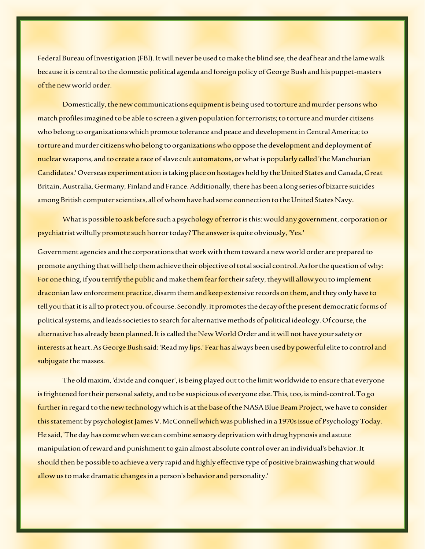Federal Bureau of Investigation (FBI). It will never be used to make the blind see, the deaf hear and the lame walk because it is central to the domestic political agenda and foreign policy of George Bush and his puppet-masters of the new world order.

Domestically, the new communications equipment is being used to torture and murder persons who match profiles imagined to be able to screen a given population for terrorists; to torture and murder citizens who belong to organizations which promote tolerance and peace and development in Central America; to torture and murder citizens who belong to organizations who oppose the development and deployment of nuclear weapons, and to create a race of slave cult automatons, or what is popularly called 'the Manchurian Candidates.' Overseas experimentation is taking place on hostages held by the United States and Canada, Great Britain, Australia, Germany, Finland and France. Additionally, there has been a long series of bizarre suicides among British computer scientists, all of whom have had some connection to the United States Navy.

What is possible to ask before such a psychology of terror is this: would any government, corporation or psychiatrist wilfully promote such horror today? The answer is quite obviously, 'Yes.'

Government agencies and the corporations that work with them toward a new world order are prepared to promote anything that will help them achieve their objective of total social control. As for the question of why: For one thing, if you terrify the public and make them fear for their safety, they will allow you to implement draconian law enforcement practice, disarm them and keep extensive records on them, and they only have to tell you that it is all to protect you, of course. Secondly, it promotes the decay of the present democratic forms of political systems, and leads societies to search for alternative methods of political ideology. Of course, the alternative has already been planned. It is called the New World Order and it will not have your safety or interests at heart. As George Bush said: 'Read my lips.' Fear has always been used by powerful elite to control and subjugate the masses.

The old maxim, 'divide and conquer', is being played out to the limit worldwide to ensure that everyone is frightened for their personal safety, and to be suspicious of everyone else. This, too, is mind-control. To go further in regard to the new technology which is at the base of the NASA Blue Beam Project, we have to consider this statement by psychologist James V. McConnell which was published in a 1970s issue of Psychology Today. He said, 'The day has come when we can combine sensory deprivation with drug hypnosis and astute manipulation of reward and punishment to gain almost absolute control over an individual's behavior. It should then be possible to achieve a very rapid and highly effective type of positive brainwashing that would allow us to make dramatic changes in a person's behavior and personality.'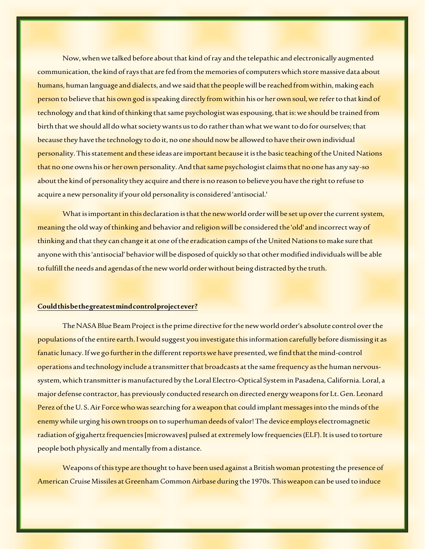Now, when we talked before about that kind of ray and the telepathic and electronically augmented communication, the kind of rays that are fed from the memories of computers which store massive data about humans, human language and dialects, and we said that the people will be reached from within, making each person to believe that his own god is speaking directly from within his or her own soul, we refer to that kind of technology and that kind of thinking that same psychologist was espousing, that is: we should be trained from birth that we should all do what society wants us to do rather than what we want to do for ourselves; that because they have the technology to do it, no one should now be allowed to have their own individual personality. This statement and these ideas are important because it is the basic teaching of the United Nations that no one owns his or her own personality. And that same psychologist claims that no one has any say-so about the kind of personality they acquire and there is no reason to believe you have the right to refuse to acquire a new personality if your old personality is considered 'antisocial.'

What is important in this declaration is that the new world order will be set up over the current system, meaning the old way of thinking and behavior and religion will be considered the 'old' and incorrect way of thinking and that they can change it at one of the eradication camps of the United Nations to make sure that anyone with this 'antisocial' behavior will be disposed of quickly so that other modified individuals will be able to fulfill the needs and agendas of the new world order without being distracted by the truth.

# **Could this be the greatest mind control project ever?**

The NASA Blue Beam Project is the prime directive for the new world order's absolute control over the populations of the entire earth. I would suggest you investigate this information carefully before dismissing it as fanatic lunacy. If we go further in the different reports we have presented, we find that the mind-control operations and technology include a transmitter that broadcasts at the same frequency as the human nervoussystem, which transmitter is manufactured by the Loral Electro-Optical System in Pasadena, California. Loral, a major defense contractor, has previously conducted research on directed energy weapons for Lt. Gen. Leonard Perez of the U. S. Air Force who was searching for a weapon that could implant messages into the minds of the enemy while urging his own troops on to superhuman deeds of valor! The device employs electromagnetic radiation of gigahertz frequencies [microwaves] pulsed at extremely low frequencies (ELF). It is used to torture people both physically and mentally from a distance.

Weapons of this type are thought to have been used against a British woman protesting the presence of American Cruise Missiles at Greenham Common Airbase during the 1970s. This weapon can be used to induce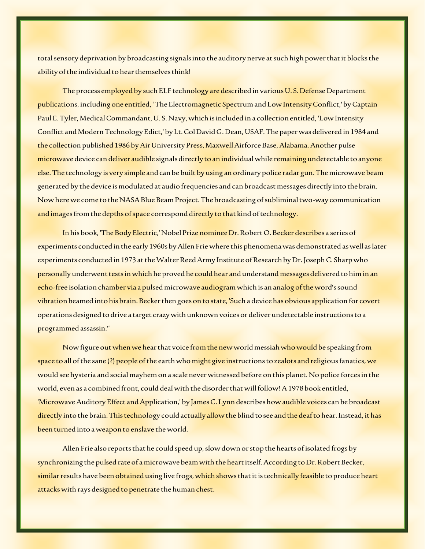total sensory deprivation by broadcasting signals into the auditory nerve at such high power that it blocks the ability of the individual to hear themselves think!

The process employed by such ELF technology are described in various U.S. Defense Department publications, including one entitled, ' The Electromagnetic Spectrum and Low Intensity Conflict,' by Captain Paul E. Tyler, Medical Commandant, U. S. Navy, which is included in a collection entitled, 'Low Intensity Conflict and Modern Technology Edict,' by Lt. Col David G. Dean, USAF. The paper was delivered in 1984 and the collection published 1986 by Air University Press, Maxwell Airforce Base, Alabama. Another pulse microwave device can deliver audible signals directly to an individual while remaining undetectable to anyone else. The technology is very simple and can be built by using an ordinary police radar gun. The microwave beam generated by the device is modulated at audio frequencies and can broadcast messages directly into the brain. Now here we come to the NASA Blue Beam Project. The broadcasting of subliminal two-way communication and images from the depths of space correspond directly to that kind of technology.

In his book, 'The Body Electric,' Nobel Prize nominee Dr. Robert O. Becker describes a series of experiments conducted in the early 1960s by Allen Frie where this phenomena was demonstrated as well as later experiments conducted in 1973 at the Walter Reed Army Institute of Research by Dr. Joseph C. Sharp who personally underwent tests in which he proved he could hear and understand messages delivered to him in an echo-free isolation chamber via a pulsed microwave audiogram which is an analog of the word's sound vibration beamed into his brain. Becker then goes on to state, 'Such a device has obvious application for covert operations designed to drive a target crazy with unknown voices or deliver undetectable instructions to a programmed assassin."

Now figure out when we hear that voice from the new world messiah who would be speaking from space to all of the sane (?) people of the earth who might give instructions to zealots and religious fanatics, we would see hysteria and social mayhem on a scale never witnessed before on this planet. No police forces in the world, even as a combined front, could deal with the disorder that will follow! A 1978 book entitled, 'Microwave Auditory Effect and Application,' by James C. Lynn describes how audible voices can be broadcast directly into the brain. This technology could actually allow the blind to see and the deaf to hear. Instead, it has been turned into a weapon to enslave the world.

Allen Frie also reports that he could speed up, slow down or stop the hearts of isolated frogs by synchronizing the pulsed rate of a microwave beam with the heart itself. According to Dr. Robert Becker, similar results have been obtained using live frogs, which shows that it is technically feasible to produce heart attacks with rays designed to penetrate the human chest.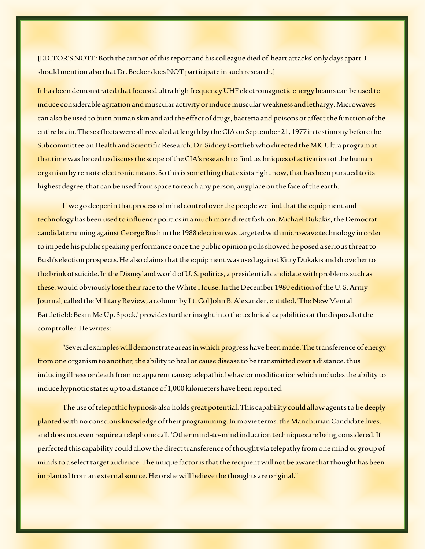[EDITOR'S NOTE: Both the author of this report and his colleague died of 'heart attacks' only days apart. I should mention also that Dr. Becker does NOT participate in such research.]

It has been demonstrated that focused ultra high frequency UHF electromagnetic energy beams can be used to induce considerable agitation and muscular activity or induce muscular weakness and lethargy. Microwaves can also be used to burn human skin and aid the effect of drugs, bacteria and poisons or affect the function of the entire brain. These effects were all revealed at length by the CIA on September 21, 1977 in testimony before the Subcommittee on Health and Scientific Research. Dr. Sidney Gottlieb who directed the MK-Ultra program at that time was forced to discuss the scope of the CIA's research to find techniques of activation of the human organism by remote electronic means. So this is something that exists right now, that has been pursued to its highest degree, that can be used from space to reach any person, anyplace on the face of the earth.

If we go deeper in that process of mind control over the people we find that the equipment and technology has been used to influence politics in a much more direct fashion. Michael Dukakis, the Democrat candidate running against George Bush in the 1988 election was targeted with microwave technology in order to impede his public speaking performance once the public opinion polls showed he posed a serious threat to Bush's election prospects. He also claims that the equipment was used against Kitty Dukakis and drove her to the brink of suicide. In the Disneyland world of U. S. politics, a presidential candidate with problems such as these, would obviously lose their race to the White House. In the December 1980 edition of the U.S. Army Journal, called the Military Review, a column by Lt. Col John B. Alexander, entitled, 'The New Mental Battlefield: Beam Me Up, Spock,' provides further insight into the technical capabilities at the disposal of the comptroller. He writes:

"Several examples will demonstrate areas in which progress have been made. The transference of energy from one organism to another; the ability to heal or cause disease to be transmitted over a distance, thus inducing illness or death from no apparent cause; telepathic behavior modification which includes the ability to induce hypnotic states up to a distance of 1,000 kilometers have been reported.

The use of telepathic hypnosis also holds great potential. This capability could allow agents to be deeply planted with no conscious knowledge of their programming. In movie terms, the Manchurian Candidate lives, and does not even require a telephone call. 'Other mind-to-mind induction techniques are being considered. If perfected this capability could allow the direct transference of thought via telepathy from one mind or group of minds to a select target audience. The unique factor is that the recipient will not be aware that thought has been implanted from an external source. He or she will believe the thoughts are original."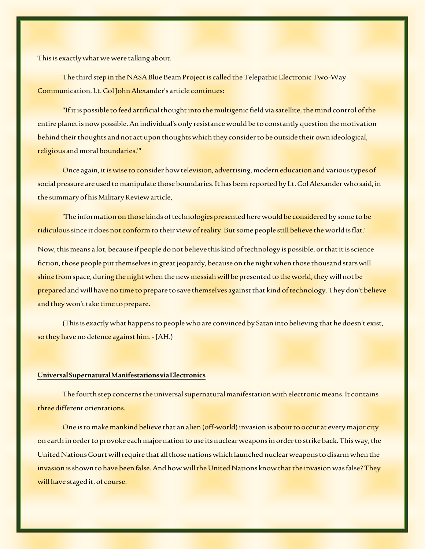This is exactly what we were talking about.

The third step in the NASA Blue Beam Project is called the Telepathic Electronic Two-Way Communication. Lt. Col John Alexander's article continues:

"If it is possible to feed artificial thought into the multigenic field via satellite, the mind control of the entire planet is now possible. An individual's only resistance would be to constantly question the motivation behind their thoughts and not act upon thoughts which they consider to be outside their own ideological, religious and moral boundaries.'"

Once again, it is wise to consider how television, advertising, modern education and various types of social pressure are used to manipulate those boundaries. It has been reported by Lt. Col Alexander who said, in the summary of his Military Review article,

The information on those kinds of technologies presented here would be considered by some to be ridiculous since it does not conform to their view ofreality. But some people still believe the world is flat.'

Now, this means a lot, because if people do not believe this kind of technology is possible, or that it is science fiction, those people put themselves in great jeopardy, because on the night when those thousand stars will shine from space, during the night when the new messiah will be presented to the world, they will not be prepared and will have no time to prepare to save themselves against that kind of technology. They don't believe and they won't take time to prepare.

(This is exactly what happens to people who are convinced by Satan into believing that he doesn't exist, so they have no defence against him. - JAH.)

#### **Universal Supernatural Manifestations via Electronics**

The fourth step concerns the universal supernatural manifestation with electronic means. It contains three different orientations.

One is to make mankind believe that an alien (off-world) invasion is about to occur at every major city on earth in order to provoke each major nation to use its nuclear weapons in order to strike back. This way, the United Nations Court will require that all those nations which launched nuclear weapons to disarm when the invasion is shown to have been false. And how will the United Nations know that the invasion was false? They will have staged it, of course.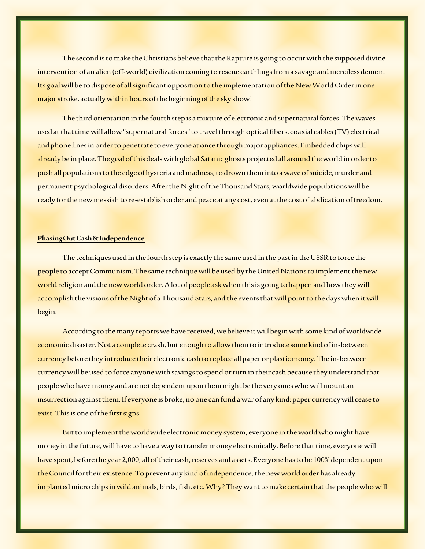The second is to make the Christians believe that the Rapture is going to occur with the supposed divine intervention of an alien (off-world) civilization coming to rescue earthlings from a savage and merciless demon. Its goal will be to dispose of all significant opposition to the implementation of the New World Order in one major stroke, actually within hours of the beginning of the sky show!

The third orientation in the fourth step is a mixture of electronic and supernatural forces. The waves used at that time will allow "supernatural forces" to travel through optical fibers, coaxial cables (TV) electrical and phone lines in order to penetrate to everyone at once through major appliances. Embedded chips will already be in place. The goal of this deals with global Satanic ghosts projected all around the world in order to push all populations to the edge of hysteria and madness, to drown them into a wave of suicide, murder and permanent psychological disorders. After the Night of the Thousand Stars, worldwide populations will be ready for the new messiah to re-establish order and peace at any cost, even at the cost of abdication of freedom.

# **Phasing Out Cash & Independence**

The techniques used in the fourth step is exactly the same used in the past in the USSR to force the people to accept Communism. The same technique will be used by the United Nations to implement the new world religion and the new world order. A lot of people ask when this is going to happen and how they will accomplish the visions of the Night of a Thousand Stars, and the events that will point to the days when it will begin.

According to the many reports we have received, we believe it will begin with some kind of worldwide economic disaster. Not a complete crash, but enough to allow them to introduce some kind of in-between currency before they introduce their electronic cash to replace all paper or plastic money. The in-between currency will be used to force anyone with savings to spend or turn in their cash because they understand that people who have money and are not dependent upon them might be the very ones who will mount an insurrection against them. If everyone is broke, no one can fund a war of any kind: paper currency will cease to exist. This is one of the first signs.

But to implement the worldwide electronic money system, everyone in the world who might have money in the future, will have to have a way to transfer money electronically. Before that time, everyone will have spent, before the year 2,000, all of their cash, reserves and assets. Everyone has to be 100% dependent upon the Council for their existence. To prevent any kind of independence, the new world order has already implanted micro chips in wild animals, birds, fish, etc. Why? They want to make certain that the people who will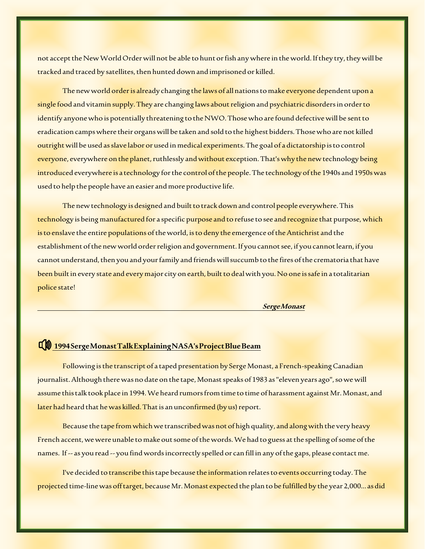not accept the New World Order will not be able to hunt or fish any where in the world. If they try, they will be tracked and traced by satellites, then hunted down and imprisoned or killed.

The new world order is already changing the laws of all nations to make everyone dependent upon a single food and vitamin supply. They are changing laws about religion and psychiatric disorders in order to identify anyone who is potentially threatening to the NWO. Those who are found defective will be sent to eradication camps where their organs will be taken and sold to the highest bidders. Those who are not killed outright will be used as slave labor or used in medical experiments. The goal of a dictatorship is to control everyone, everywhere on the planet, ruthlessly and without exception. That's why the new technology being introduced everywhere is a technology for the control of the people. The technology of the 1940s and 1950s was used to help the people have an easier and more productive life.

The new technology is designed and built to track down and control people everywhere. This technology is being manufactured for a specific purpose and to refuse to see and recognize that purpose, which is to enslave the entire populations of the world, is to deny the emergence of the Antichrist and the establishment of the new world order religion and government. If you cannot see, if you cannot learn, if you cannot understand, then you and your family and friends will succumb to the fires of the crematoria that have been built in every state and every major city on earth, built to deal with you. No one is safe in a totalitarian police state!

**Serge Monast**

# **1994 Serge Monast Talk Explaining NASA's Project Blue Beam**

Following is the transcript of a taped presentation by Serge Monast, a French-speaking Canadian journalist. Although there was no date on the tape, Monast speaks of 1983 as "eleven years ago", so we will assume this talk took place in 1994. We heard rumors from time to time of harassment against Mr. Monast, and later had heard that he was killed. That is an unconfirmed (by us) report.

Because the tape from which we transcribed was not of high quality, and along with the very heavy French accent, we were unable to make out some of the words. We had to guess at the spelling of some of the names. If -- as you read -- you find words incorrectly spelled or can fill in any of the gaps, please contact me.

I've decided to transcribe this tape because the information relates to events occurring today. The projected time-line was off target, because Mr. Monast expected the plan to be fulfilled by the year 2,000... as did